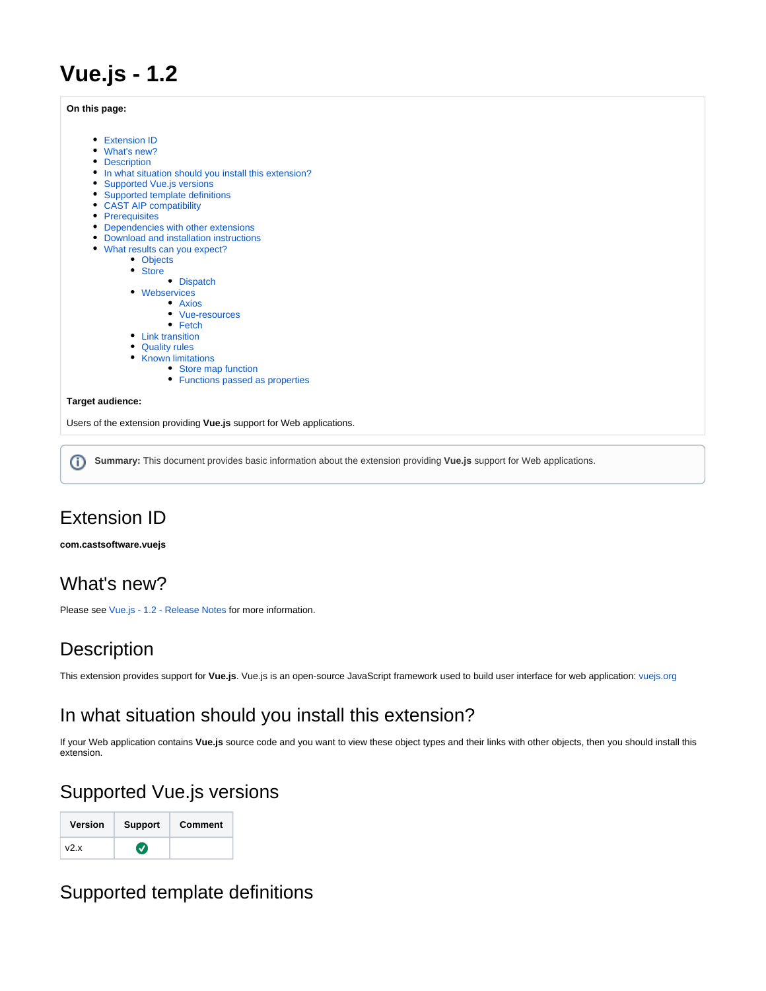# **Vue.js - 1.2**

#### **On this page:**

- **•** [Extension ID](#page-0-0)
- [What's new?](#page-0-1)
- [Description](#page-0-2)
- [In what situation should you install this extension?](#page-0-3)
- **[Supported Vue.js versions](#page-0-4)**
- [Supported template definitions](#page-0-5)
- [CAST AIP compatibility](#page-2-0)
- [Prerequisites](#page-2-1)
- [Dependencies with other extensions](#page-2-2)
- [Download and installation instructions](#page-2-3)
- [What results can you expect?](#page-2-4)
	- [Objects](#page-2-5)
	- [Store](#page-3-0)
	- [Dispatch](#page-3-1)
	- [Webservices](#page-4-0)
		- [Axios](#page-4-1)
			- [Vue-resources](#page-5-0)  $\bullet$  [Fetch](#page-5-1)
	-
	- [Link transition](#page-6-0)
	- [Quality rules](#page-7-0)
	- [Known limitations](#page-7-1)
		- [Store map function](#page-7-2) • [Functions passed as properties](#page-8-0)

#### **Target audience:**

Users of the extension providing **Vue.js** support for Web applications.

**Summary:** This document provides basic information about the extension providing **Vue.js** support for Web applications.⋒

# <span id="page-0-0"></span>Extension ID

**com.castsoftware.vuejs**

# <span id="page-0-1"></span>What's new?

Please see [Vue.js - 1.2 - Release Notes](https://doc.castsoftware.com/display/TECHNOS/Vue.js+-+1.2+-+Release+Notes) for more information.

# <span id="page-0-2"></span>**Description**

This extension provides support for **Vue.js**. Vue.js is an open-source JavaScript framework used to build user interface for web application: [vuejs.org](https://vuejs.org/)

# <span id="page-0-3"></span>In what situation should you install this extension?

If your Web application contains **Vue.js** source code and you want to view these object types and their links with other objects, then you should install this extension.

# <span id="page-0-4"></span>Supported Vue.js versions

| <b>Version</b> | <b>Support</b> | Comment |
|----------------|----------------|---------|
| v2.x           |                |         |

# <span id="page-0-5"></span>Supported template definitions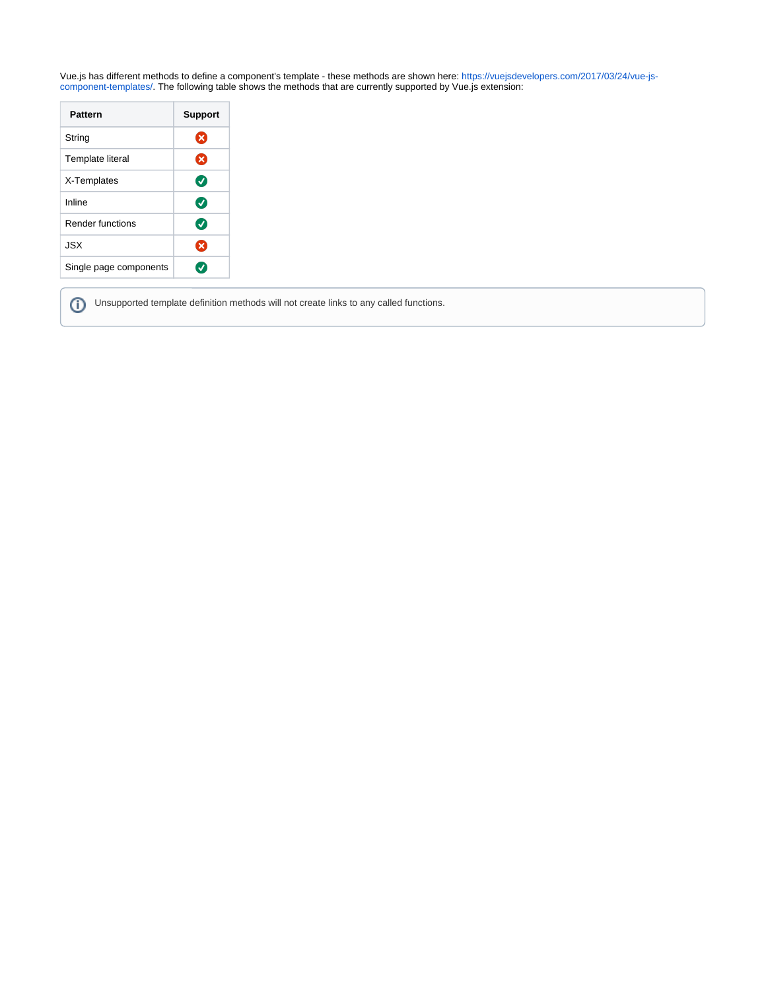Vue.js has different methods to define a component's template - these methods are shown here: [https://vuejsdevelopers.com/2017/03/24/vue-js](https://vuejsdevelopers.com/2017/03/24/vue-js-component-templates/)[component-templates/](https://vuejsdevelopers.com/2017/03/24/vue-js-component-templates/). The following table shows the methods that are currently supported by Vue.js extension:

| Pattern                 | <b>Support</b> |
|-------------------------|----------------|
| String                  | ×              |
| <b>Template literal</b> | ظ              |
| X-Templates             | Ø              |
| Inline                  | Ø              |
| Render functions        | Ø              |
| JSX                     | ×              |
| Single page components  |                |

⊙

Unsupported template definition methods will not create links to any called functions.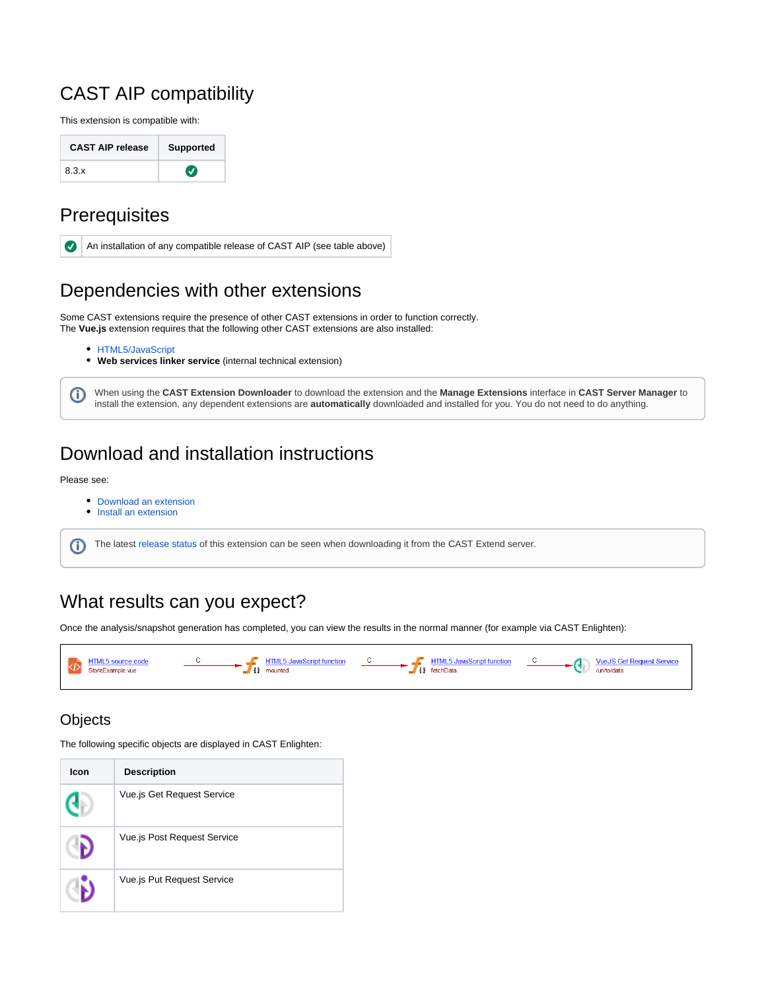# <span id="page-2-0"></span>CAST AIP compatibility

This extension is compatible with:

| <b>CAST AIP release</b> | <b>Supported</b> |
|-------------------------|------------------|
| 8.3.x                   | $\bm{J}$         |

## <span id="page-2-1"></span>**Prerequisites**



# <span id="page-2-2"></span>Dependencies with other extensions

Some CAST extensions require the presence of other CAST extensions in order to function correctly. The **Vue.js** extension requires that the following other CAST extensions are also installed:

- **[HTML5/JavaScript](https://doc.castsoftware.com/display/TECHNOS/HTML5+and+JavaScript)**
- **Web services linker service** (internal technical extension)

When using the **CAST Extension Downloader** to download the extension and the **Manage Extensions** interface in **CAST Server Manager** to install the extension, any dependent extensions are **automatically** downloaded and installed for you. You do not need to do anything.

# <span id="page-2-3"></span>Download and installation instructions

#### Please see:

➀

- [Download an extension](https://doc.castsoftware.com/display/EXTEND/Download+an+extension)
- [Install an extension](https://doc.castsoftware.com/display/EXTEND/Install+an+extension)

The latest [release status](https://doc.castsoftware.com/display/EXTEND/Release+types) of this extension can be seen when downloading it from the CAST Extend server.ന

# <span id="page-2-4"></span>What results can you expect?

Once the analysis/snapshot generation has completed, you can view the results in the normal manner (for example via CAST Enlighten):



## <span id="page-2-5"></span>**Objects**

The following specific objects are displayed in CAST Enlighten:

| Icon | <b>Description</b>          |
|------|-----------------------------|
|      | Vue.js Get Request Service  |
|      | Vue.js Post Request Service |
|      | Vue.js Put Request Service  |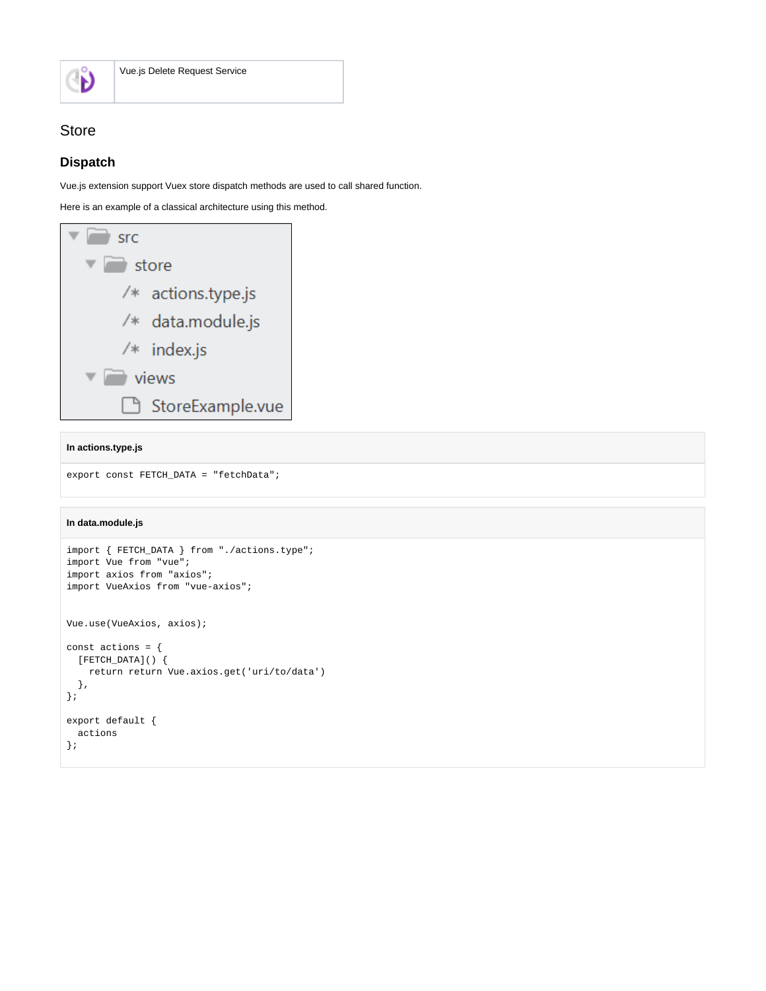

## <span id="page-3-0"></span>Store

### <span id="page-3-1"></span>**Dispatch**

Vue.js extension support Vuex store dispatch methods are used to call shared function.

Here is an example of a classical architecture using this method.

| <b>Src</b>           |  |
|----------------------|--|
| store                |  |
| $/*$ actions.type.js |  |
| /* data.module.js    |  |
| $/*$ index.js        |  |
| views                |  |
| StoreExample.vue     |  |

#### **In actions.type.js**

```
export const FETCH_DATA = "fetchData";
```
### **In data.module.js**

```
import { FETCH_DATA } from "./actions.type";
import Vue from "vue";
import axios from "axios";
import VueAxios from "vue-axios";
Vue.use(VueAxios, axios);
const actions = {
   [FETCH_DATA]() {
    return return Vue.axios.get('uri/to/data')
  },
};
export default {
   actions
};
```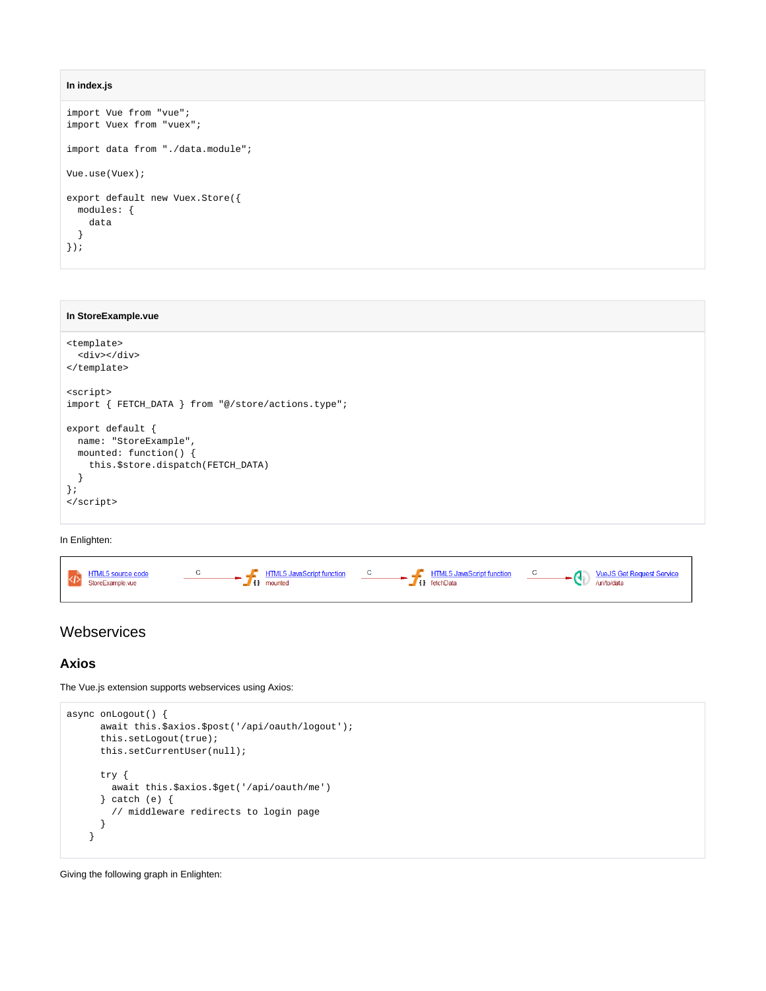```
In index.js
```

```
import Vue from "vue";
import Vuex from "vuex";
import data from "./data.module";
Vue.use(Vuex);
export default new Vuex.Store({
  modules: {
    data
  }
});
```
#### **In StoreExample.vue**

```
<template>
  <div></div>
</template>
<script>
import { FETCH_DATA } from "@/store/actions.type";
export default {
  name: "StoreExample",
  mounted: function() {
    this.$store.dispatch(FETCH_DATA)
  }
};
</script>
```
#### In Enlighten:

| HTML5 JavaScript function<br>$\blacksquare$ HTML5 JavaScript function<br><b>HTML5</b> source code<br>$\ddot{\phantom{0}}$<br>StoreExample.vue<br>$\blacksquare$ $\blacksquare$ fetchData<br>I mounted | <b>C C VueJS</b> Get Request Service<br>furi/to/data |
|-------------------------------------------------------------------------------------------------------------------------------------------------------------------------------------------------------|------------------------------------------------------|
|-------------------------------------------------------------------------------------------------------------------------------------------------------------------------------------------------------|------------------------------------------------------|

### <span id="page-4-0"></span>**Webservices**

### <span id="page-4-1"></span>**Axios**

The Vue.js extension supports webservices using Axios:

```
async onLogout() {
       await this.$axios.$post('/api/oauth/logout');
       this.setLogout(true);
      this.setCurrentUser(null);
      try {
        await this.$axios.$get('/api/oauth/me')
       } catch (e) {
         // middleware redirects to login page
       }
     }
```
Giving the following graph in Enlighten: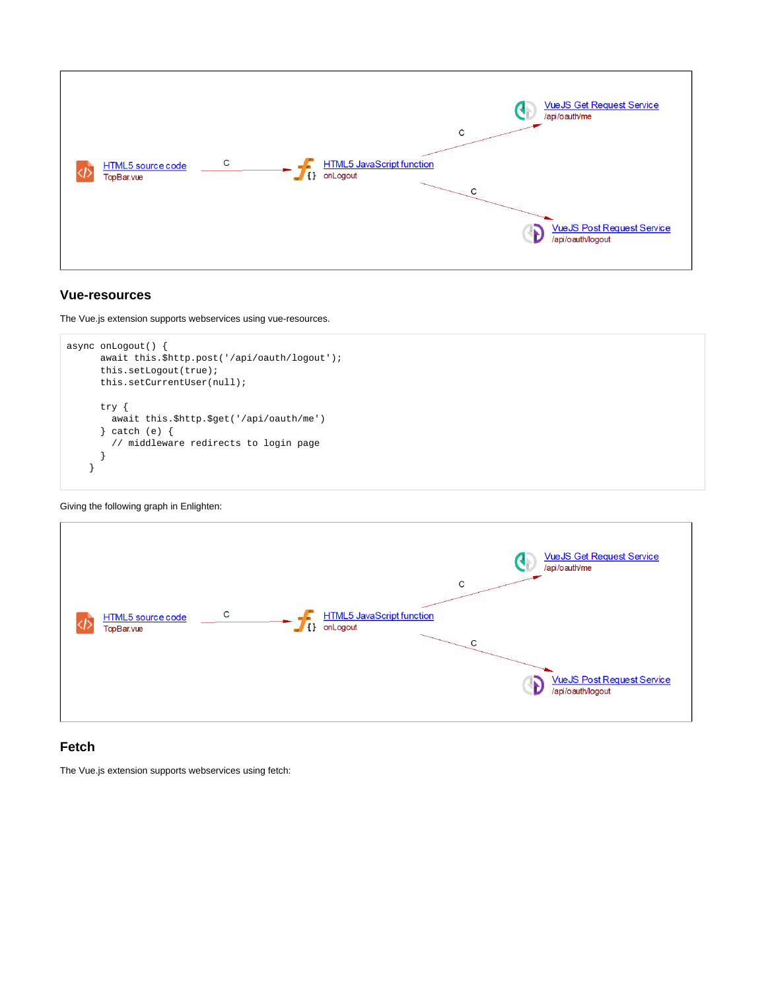

### <span id="page-5-0"></span>**Vue-resources**

The Vue.js extension supports webservices using vue-resources.

```
async onLogout() {
      await this.$http.post('/api/oauth/logout');
       this.setLogout(true);
       this.setCurrentUser(null);
       try {
         await this.$http.$get('/api/oauth/me')
       } catch (e) {
         // middleware redirects to login page
       }
     }
```
Giving the following graph in Enlighten:



### <span id="page-5-1"></span>**Fetch**

The Vue.js extension supports webservices using fetch: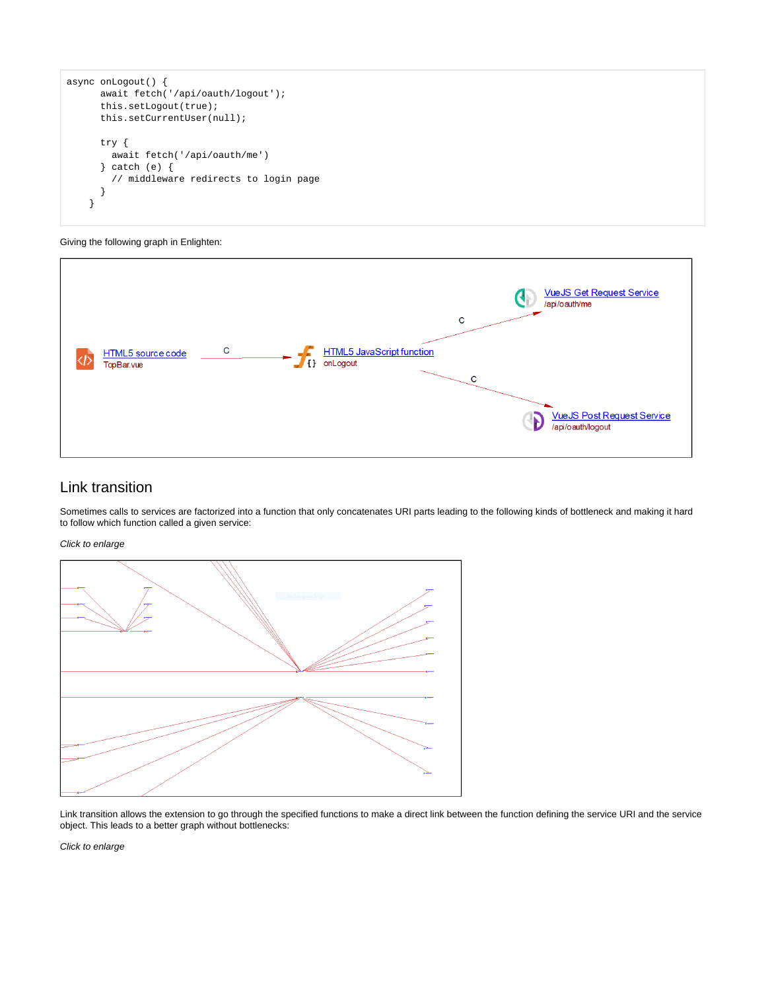```
async onLogout() {
       await fetch('/api/oauth/logout');
       this.setLogout(true);
       this.setCurrentUser(null);
       try {
         await fetch('/api/oauth/me')
       } catch (e) {
         // middleware redirects to login page
 }
     }
```
#### Giving the following graph in Enlighten:



### <span id="page-6-0"></span>Link transition

Sometimes calls to services are factorized into a function that only concatenates URI parts leading to the following kinds of bottleneck and making it hard to follow which function called a given service:

Click to enlarge



Link transition allows the extension to go through the specified functions to make a direct link between the function defining the service URI and the service object. This leads to a better graph without bottlenecks:

Click to enlarge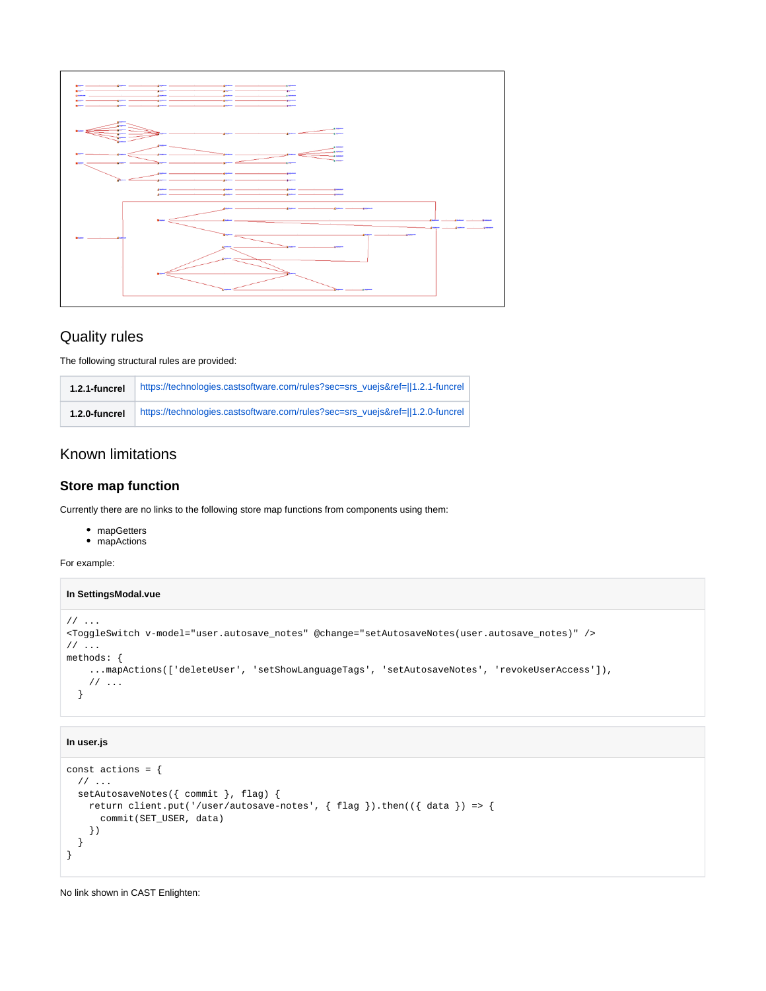

### <span id="page-7-0"></span>Quality rules

The following structural rules are provided:

| 1.2.1-funcrel | https://technologies.castsoftware.com/rules?sec=srs_vuejs&ref=  1.2.1-funcrel |
|---------------|-------------------------------------------------------------------------------|
| 1.2.0-funcrel | https://technologies.castsoftware.com/rules?sec=srs_vuejs&ref=  1.2.0-funcrel |

## <span id="page-7-1"></span>Known limitations

### <span id="page-7-2"></span>**Store map function**

Currently there are no links to the following store map functions from components using them:

- mapGetters
- mapActions

For example:

#### **In SettingsModal.vue**

```
// ...
<ToggleSwitch v-model="user.autosave_notes" @change="setAutosaveNotes(user.autosave_notes)" />
// \dotsmethods: {
     ...mapActions(['deleteUser', 'setShowLanguageTags', 'setAutosaveNotes', 'revokeUserAccess']),
     // ...
   }
```
### **In user.js**

```
const actions = {
 // ...
  setAutosaveNotes({ commit }, flag) {
    return client.put('/user/autosave-notes', { flag }).then(({ data }) => {
       commit(SET_USER, data)
     })
  }
}
```
No link shown in CAST Enlighten: